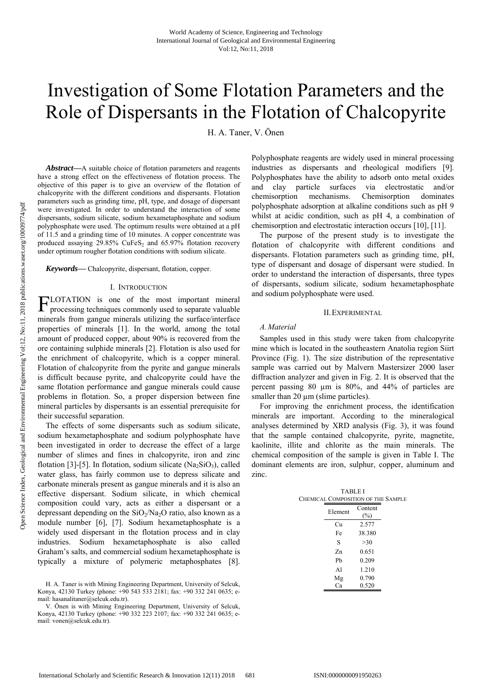# Investigation of Some Flotation Parameters and the Role of Dispersants in the Flotation of Chalcopyrite

H. A. Taner, V. Önen

*Abstract***—**A suitable choice of flotation parameters and reagents have a strong effect on the effectiveness of flotation process. The objective of this paper is to give an overview of the flotation of chalcopyrite with the different conditions and dispersants. Flotation parameters such as grinding time, pH, type, and dosage of dispersant were investigated. In order to understand the interaction of some dispersants, sodium silicate, sodium hexametaphosphate and sodium polyphosphate were used. The optimum results were obtained at a pH of 11.5 and a grinding time of 10 minutes. A copper concentrate was produced assaying  $29.85\%$  CuFeS<sub>2</sub> and  $65.97\%$  flotation recovery under optimum rougher flotation conditions with sodium silicate.

*Keywords***—** Chalcopyrite, dispersant, flotation, copper.

#### I. INTRODUCTION

LOTATION is one of the most important mineral  $\Gamma$ LOTATION is one of the most important mineral processing techniques commonly used to separate valuable minerals from gangue minerals utilizing the surface/interface properties of minerals [1]. In the world, among the total amount of produced copper, about 90% is recovered from the ore containing sulphide minerals [2]. Flotation is also used for the enrichment of chalcopyrite, which is a copper mineral. Flotation of chalcopyrite from the pyrite and gangue minerals is difficult because pyrite, and chalcopyrite could have the same flotation performance and gangue minerals could cause problems in flotation. So, a proper dispersion between fine mineral particles by dispersants is an essential prerequisite for their successful separation.

The effects of some dispersants such as sodium silicate, sodium hexametaphosphate and sodium polyphosphate have been investigated in order to decrease the effect of a large number of slimes and fines in chalcopyrite, iron and zinc flotation [3]-[5]. In flotation, sodium silicate  $(Na<sub>2</sub>SiO<sub>3</sub>)$ , called water glass, has fairly common use to depress silicate and carbonate minerals present as gangue minerals and it is also an effective dispersant. Sodium silicate, in which chemical composition could vary, acts as either a dispersant or a depressant depending on the  $SiO_2/Na_2O$  ratio, also known as a module number [6], [7]. Sodium hexametaphosphate is a widely used dispersant in the flotation process and in clay industries. Sodium hexametaphosphate is also called Graham's salts, and commercial sodium hexametaphosphate is typically a mixture of polymeric metaphosphates [8].

Polyphosphate reagents are widely used in mineral processing industries as dispersants and rheological modifiers [9]. Polyphosphates have the ability to adsorb onto metal oxides and clay particle surfaces via electrostatic and/or chemisorption mechanisms. Chemisorption dominates polyphosphate adsorption at alkaline conditions such as pH 9 whilst at acidic condition, such as pH 4, a combination of chemisorption and electrostatic interaction occurs [10], [11].

The purpose of the present study is to investigate the flotation of chalcopyrite with different conditions and dispersants. Flotation parameters such as grinding time, pH, type of dispersant and dosage of dispersant were studied. In order to understand the interaction of dispersants, three types of dispersants, sodium silicate, sodium hexametaphosphate and sodium polyphosphate were used.

## II.EXPERIMENTAL

#### *A.Material*

Samples used in this study were taken from chalcopyrite mine which is located in the southeastern Anatolia region Siirt Province (Fig. 1). The size distribution of the representative sample was carried out by Malvern Mastersizer 2000 laser diffraction analyzer and given in Fig. 2. It is observed that the percent passing 80 µm is 80%, and 44% of particles are smaller than 20  $\mu$ m (slime particles).

For improving the enrichment process, the identification minerals are important. According to the mineralogical analyses determined by XRD analysis (Fig. 3), it was found that the sample contained chalcopyrite, pyrite, magnetite, kaolinite, illite and chlorite as the main minerals. The chemical composition of the sample is given in Table I. The dominant elements are iron, sulphur, copper, aluminum and zinc.

| TABLEI<br><b>CHEMICAL COMPOSITION OF THE SAMPLE</b> |                |  |
|-----------------------------------------------------|----------------|--|
| Element                                             | Content<br>(%) |  |
| Сu                                                  | 2.577          |  |
| Fe                                                  | 38.380         |  |
| S                                                   | >30            |  |
| $Z_{n}$                                             | 0.651          |  |
| Ph                                                  | 0.209          |  |
| $\mathbf{A}$                                        | 1.210          |  |
| Mg                                                  | 0.790          |  |
| Ca                                                  | 0.520          |  |

H. A. Taner is with Mining Engineering Department, University of Selcuk, Konya, 42130 Turkey (phone: +90 543 533 2181; fax: +90 332 241 0635; email: hasanalitaner@selcuk.edu.tr).

V. Önen is with Mining Engineering Department, University of Selcuk, Konya, 42130 Turkey (phone: +90 332 223 2107; fax: +90 332 241 0635; email: vonen@selcuk.edu.tr).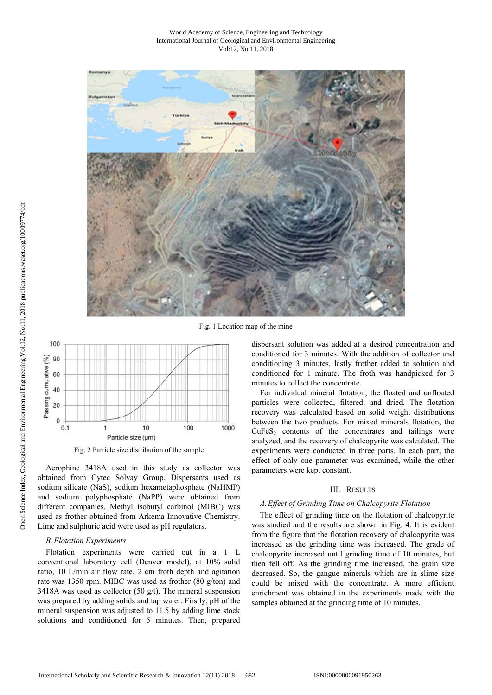#### World Academy of Science, Engineering and Technology International Journal of Geological and Environmental Engineering Vol:12, No:11, 2018



Fig. 1 Location map of the mine



Fig. 2 Particle size distribution of the sample

Aerophine 3418A used in this study as collector was obtained from Cytec Solvay Group. Dispersants used as sodium silicate (NaS), sodium hexametaphosphate (NaHMP) and sodium polyphosphate (NaPP) were obtained from different companies. Methyl isobutyl carbinol (MIBC) was used as frother obtained from Arkema Innovative Chemistry. Lime and sulphuric acid were used as pH regulators.

## *B.Flotation Experiments*

Flotation experiments were carried out in a 1 L conventional laboratory cell (Denver model), at 10% solid ratio, 10 L/min air flow rate, 2 cm froth depth and agitation rate was 1350 rpm. MIBC was used as frother (80 g/ton) and 3418A was used as collector (50  $g/t$ ). The mineral suspension was prepared by adding solids and tap water. Firstly, pH of the mineral suspension was adjusted to 11.5 by adding lime stock solutions and conditioned for 5 minutes. Then, prepared dispersant solution was added at a desired concentration and conditioned for 3 minutes. With the addition of collector and conditioning 3 minutes, lastly frother added to solution and conditioned for 1 minute. The froth was handpicked for 3 minutes to collect the concentrate.

For individual mineral flotation, the floated and unfloated particles were collected, filtered, and dried. The flotation recovery was calculated based on solid weight distributions between the two products. For mixed minerals flotation, the  $CuFeS<sub>2</sub>$  contents of the concentrates and tailings were analyzed, and the recovery of chalcopyrite was calculated. The experiments were conducted in three parts. In each part, the effect of only one parameter was examined, while the other parameters were kept constant.

#### III. RESULTS

#### *A.Effect of Grinding Time on Chalcopyrite Flotation*

The effect of grinding time on the flotation of chalcopyrite was studied and the results are shown in Fig. 4. It is evident from the figure that the flotation recovery of chalcopyrite was increased as the grinding time was increased. The grade of chalcopyrite increased until grinding time of 10 minutes, but then fell off. As the grinding time increased, the grain size decreased. So, the gangue minerals which are in slime size could be mixed with the concentrate. A more efficient enrichment was obtained in the experiments made with the samples obtained at the grinding time of 10 minutes.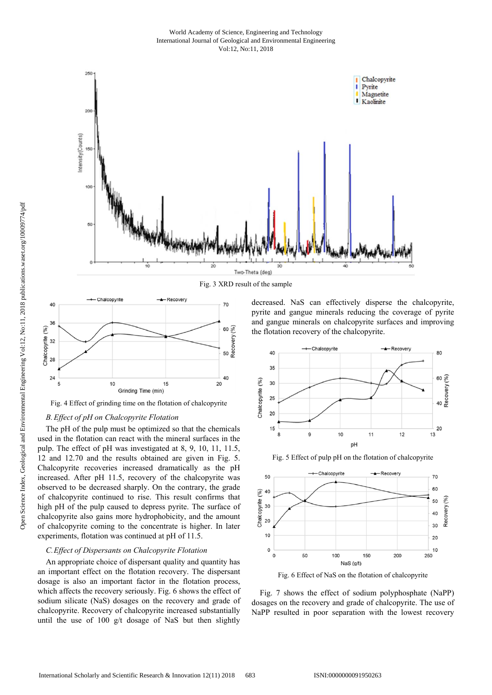#### World Academy of Science, Engineering and Technology International Journal of Geological and Environmental Engineering Vol:12, No:11, 2018



Fig. 3 XRD result of the sample



Fig. 4 Effect of grinding time on the flotation of chalcopyrite

# *B.Effect of pH on Chalcopyrite Flotation*

The pH of the pulp must be optimized so that the chemicals used in the flotation can react with the mineral surfaces in the pulp. The effect of pH was investigated at 8, 9, 10, 11, 11.5, 12 and 12.70 and the results obtained are given in Fig. 5. Chalcopyrite recoveries increased dramatically as the pH increased. After pH 11.5, recovery of the chalcopyrite was observed to be decreased sharply. On the contrary, the grade of chalcopyrite continued to rise. This result confirms that high pH of the pulp caused to depress pyrite. The surface of chalcopyrite also gains more hydrophobicity, and the amount of chalcopyrite coming to the concentrate is higher. In later experiments, flotation was continued at pH of 11.5.

## *C.Effect of Dispersants on Chalcopyrite Flotation*

An appropriate choice of dispersant quality and quantity has an important effect on the flotation recovery. The dispersant dosage is also an important factor in the flotation process, which affects the recovery seriously. Fig. 6 shows the effect of sodium silicate (NaS) dosages on the recovery and grade of chalcopyrite. Recovery of chalcopyrite increased substantially until the use of  $100 \text{ g/t}$  dosage of NaS but then slightly

decreased. NaS can effectively disperse the chalcopyrite, pyrite and gangue minerals reducing the coverage of pyrite and gangue minerals on chalcopyrite surfaces and improving the flotation recovery of the chalcopyrite.



Fig. 5 Effect of pulp pH on the flotation of chalcopyrite



Fig. 6 Effect of NaS on the flotation of chalcopyrite

Fig. 7 shows the effect of sodium polyphosphate (NaPP) dosages on the recovery and grade of chalcopyrite. The use of NaPP resulted in poor separation with the lowest recovery